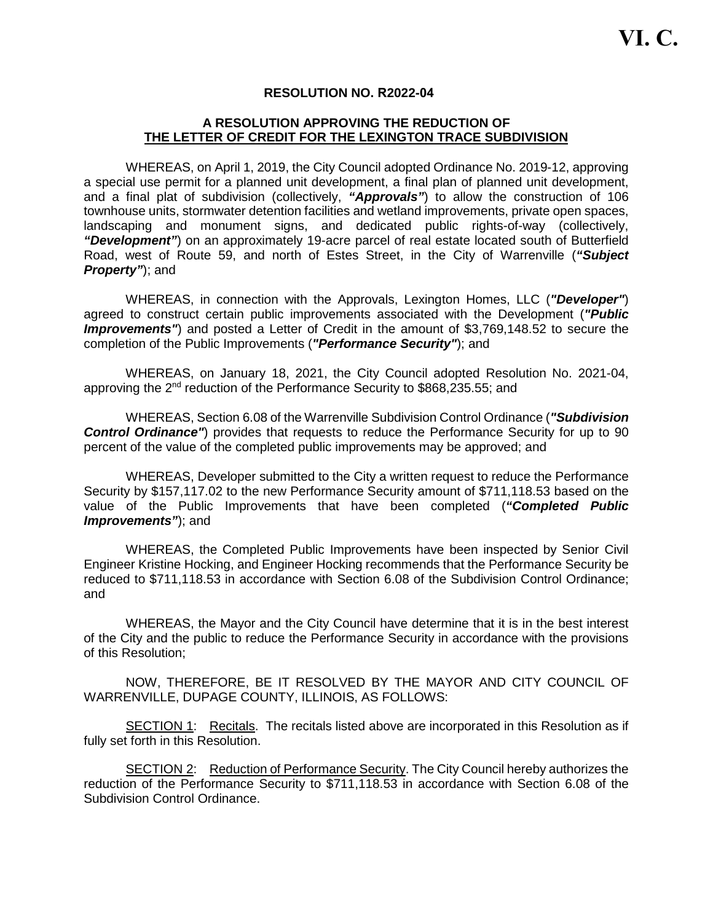### **RESOLUTION NO. R2022-04**

### **A RESOLUTION APPROVING THE REDUCTION OF THE LETTER OF CREDIT FOR THE LEXINGTON TRACE SUBDIVISION**

WHEREAS, on April 1, 2019, the City Council adopted Ordinance No. 2019-12, approving a special use permit for a planned unit development, a final plan of planned unit development, and a final plat of subdivision (collectively, *"Approvals"*) to allow the construction of 106 townhouse units, stormwater detention facilities and wetland improvements, private open spaces, landscaping and monument signs, and dedicated public rights-of-way (collectively, *"Development"*) on an approximately 19-acre parcel of real estate located south of Butterfield Road, west of Route 59, and north of Estes Street, in the City of Warrenville (*"Subject Property"*); and

WHEREAS, in connection with the Approvals, Lexington Homes, LLC (*"Developer"*) agreed to construct certain public improvements associated with the Development (*"Public Improvements"*) and posted a Letter of Credit in the amount of \$3,769,148.52 to secure the completion of the Public Improvements (*"Performance Security"*); and

WHEREAS, on January 18, 2021, the City Council adopted Resolution No. 2021-04, approving the 2<sup>nd</sup> reduction of the Performance Security to \$868,235.55; and

WHEREAS, Section 6.08 of the Warrenville Subdivision Control Ordinance (*"Subdivision* **Control Ordinance**") provides that requests to reduce the Performance Security for up to 90 percent of the value of the completed public improvements may be approved; and

WHEREAS, Developer submitted to the City a written request to reduce the Performance Security by \$157,117.02 to the new Performance Security amount of \$711,118.53 based on the value of the Public Improvements that have been completed (*"Completed Public Improvements"*); and

WHEREAS, the Completed Public Improvements have been inspected by Senior Civil Engineer Kristine Hocking, and Engineer Hocking recommends that the Performance Security be reduced to \$711,118.53 in accordance with Section 6.08 of the Subdivision Control Ordinance; and

WHEREAS, the Mayor and the City Council have determine that it is in the best interest of the City and the public to reduce the Performance Security in accordance with the provisions of this Resolution;

NOW, THEREFORE, BE IT RESOLVED BY THE MAYOR AND CITY COUNCIL OF WARRENVILLE, DUPAGE COUNTY, ILLINOIS, AS FOLLOWS:

SECTION 1: Recitals. The recitals listed above are incorporated in this Resolution as if fully set forth in this Resolution.

SECTION 2: Reduction of Performance Security. The City Council hereby authorizes the reduction of the Performance Security to \$711,118.53 in accordance with Section 6.08 of the Subdivision Control Ordinance.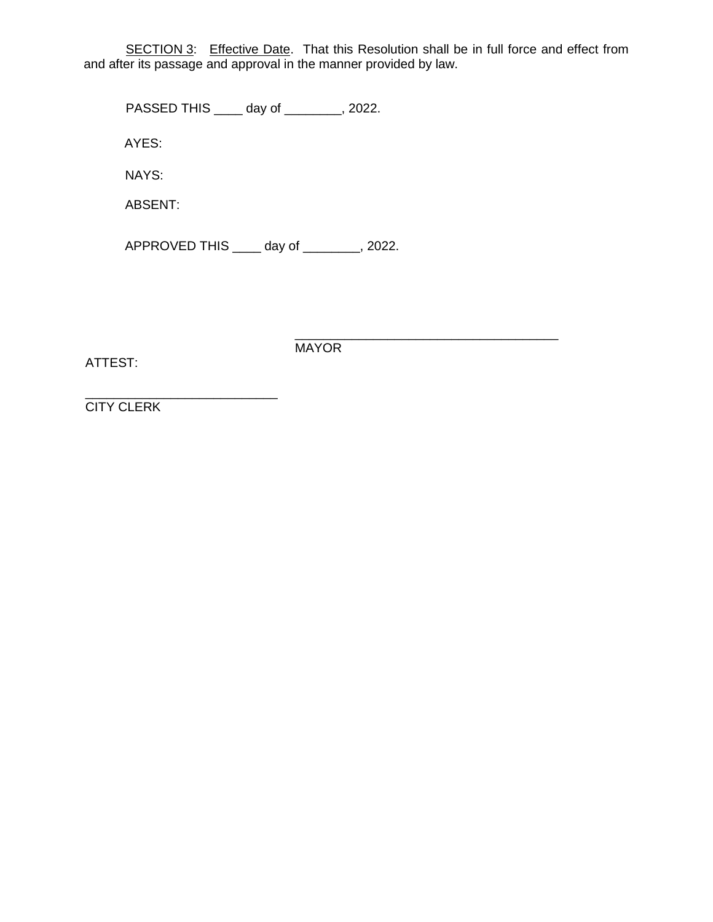SECTION 3: Effective Date. That this Resolution shall be in full force and effect from and after its passage and approval in the manner provided by law.

PASSED THIS \_\_\_\_ day of \_\_\_\_\_\_\_\_, 2022.

AYES:

NAYS:

ABSENT:

APPROVED THIS \_\_\_\_ day of \_\_\_\_\_\_\_\_, 2022.

ATTEST:

\_\_\_\_\_\_\_\_\_\_\_\_\_\_\_\_\_\_\_\_\_\_\_\_\_\_\_\_\_\_\_\_\_\_\_\_\_ **MAYOR** 

\_\_\_\_\_\_\_\_\_\_\_\_\_\_\_\_\_\_\_\_\_\_\_\_\_\_\_ CITY CLERK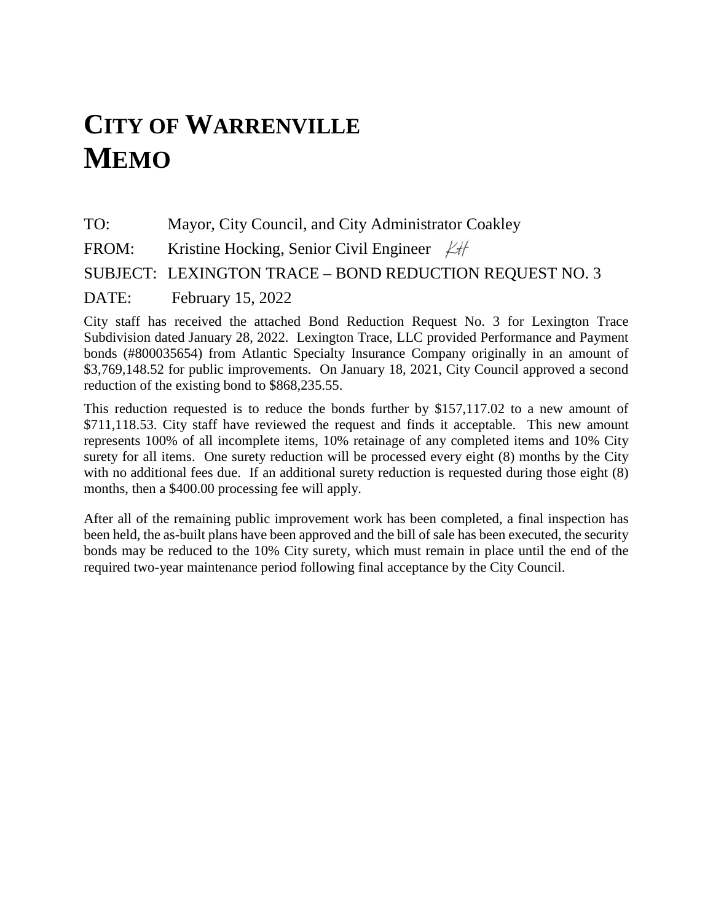## **CITY OF WARRENVILLE MEMO**

TO: Mayor, City Council, and City Administrator Coakley FROM: Kristine Hocking, Senior Civil Engineer  $\cancel{\angle}$ SUBJECT: LEXINGTON TRACE – BOND REDUCTION REQUEST NO. 3 DATE: February 15, 2022

City staff has received the attached Bond Reduction Request No. 3 for Lexington Trace Subdivision dated January 28, 2022. Lexington Trace, LLC provided Performance and Payment bonds (#800035654) from Atlantic Specialty Insurance Company originally in an amount of \$3,769,148.52 for public improvements. On January 18, 2021, City Council approved a second reduction of the existing bond to \$868,235.55.

This reduction requested is to reduce the bonds further by \$157,117.02 to a new amount of \$711,118.53. City staff have reviewed the request and finds it acceptable. This new amount represents 100% of all incomplete items, 10% retainage of any completed items and 10% City surety for all items. One surety reduction will be processed every eight (8) months by the City with no additional fees due. If an additional surety reduction is requested during those eight (8) months, then a \$400.00 processing fee will apply.

After all of the remaining public improvement work has been completed, a final inspection has been held, the as-built plans have been approved and the bill of sale has been executed, the security bonds may be reduced to the 10% City surety, which must remain in place until the end of the required two-year maintenance period following final acceptance by the City Council.